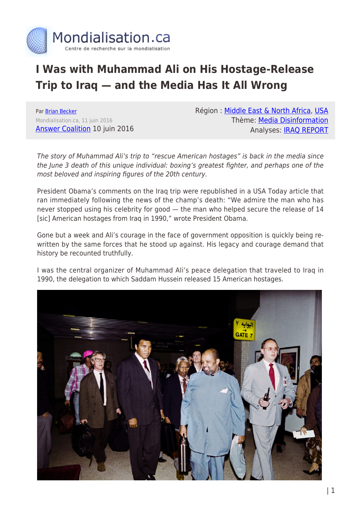

## **I Was with Muhammad Ali on His Hostage-Release Trip to Iraq — and the Media Has It All Wrong**

Par [Brian Becker](https://www.mondialisation.ca/author/brian-becker) Mondialisation.ca, 11 juin 2016 [Answer Coalition](http://www.answercoalition.org/i_was_with_muhammad_ali_on_his_hostage_release_trip_to_iraq_and_the_media_has_it_all_wrong) 10 juin 2016 Région : [Middle East & North Africa,](https://www.mondialisation.ca/region/middle-east) [USA](https://www.mondialisation.ca/region/usa) Thème: [Media Disinformation](https://www.mondialisation.ca/theme/media-disinformation) Analyses: [IRAQ REPORT](https://www.mondialisation.ca/indepthreport/iraq-report)

The story of Muhammad Ali's trip to "rescue American hostages" is back in the media since the June 3 death of this unique individual: boxing's greatest fighter, and perhaps one of the most beloved and inspiring figures of the 20th century.

President Obama's comments on the Iraq trip were republished in a USA Today article that ran immediately following the news of the champ's death: "We admire the man who has never stopped using his celebrity for good — the man who helped secure the release of 14 [sic] American hostages from Iraq in 1990," wrote President Obama.

Gone but a week and Ali's courage in the face of government opposition is quickly being rewritten by the same forces that he stood up against. His legacy and courage demand that history be recounted truthfully.

I was the central organizer of Muhammad Ali's peace delegation that traveled to Iraq in 1990, the delegation to which Saddam Hussein released 15 American hostages.

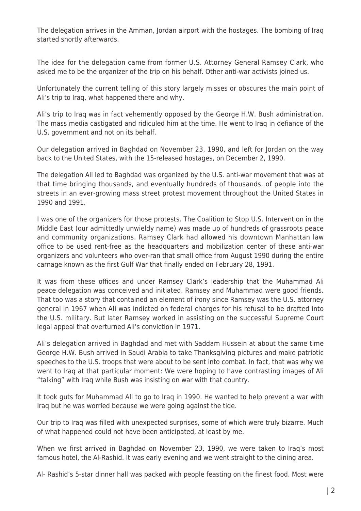The delegation arrives in the Amman, Jordan airport with the hostages. The bombing of Iraq started shortly afterwards.

The idea for the delegation came from former U.S. Attorney General Ramsey Clark, who asked me to be the organizer of the trip on his behalf. Other anti-war activists joined us.

Unfortunately the current telling of this story largely misses or obscures the main point of Ali's trip to Iraq, what happened there and why.

Ali's trip to Iraq was in fact vehemently opposed by the George H.W. Bush administration. The mass media castigated and ridiculed him at the time. He went to Iraq in defiance of the U.S. government and not on its behalf.

Our delegation arrived in Baghdad on November 23, 1990, and left for Jordan on the way back to the United States, with the 15-released hostages, on December 2, 1990.

The delegation Ali led to Baghdad was organized by the U.S. anti-war movement that was at that time bringing thousands, and eventually hundreds of thousands, of people into the streets in an ever-growing mass street protest movement throughout the United States in 1990 and 1991.

I was one of the organizers for those protests. The Coalition to Stop U.S. Intervention in the Middle East (our admittedly unwieldy name) was made up of hundreds of grassroots peace and community organizations. Ramsey Clark had allowed his downtown Manhattan law office to be used rent-free as the headquarters and mobilization center of these anti-war organizers and volunteers who over-ran that small office from August 1990 during the entire carnage known as the first Gulf War that finally ended on February 28, 1991.

It was from these offices and under Ramsey Clark's leadership that the Muhammad Ali peace delegation was conceived and initiated. Ramsey and Muhammad were good friends. That too was a story that contained an element of irony since Ramsey was the U.S. attorney general in 1967 when Ali was indicted on federal charges for his refusal to be drafted into the U.S. military. But later Ramsey worked in assisting on the successful Supreme Court legal appeal that overturned Ali's conviction in 1971.

Ali's delegation arrived in Baghdad and met with Saddam Hussein at about the same time George H.W. Bush arrived in Saudi Arabia to take Thanksgiving pictures and make patriotic speeches to the U.S. troops that were about to be sent into combat. In fact, that was why we went to Iraq at that particular moment: We were hoping to have contrasting images of Ali "talking" with Iraq while Bush was insisting on war with that country.

It took guts for Muhammad Ali to go to Iraq in 1990. He wanted to help prevent a war with Iraq but he was worried because we were going against the tide.

Our trip to Iraq was filled with unexpected surprises, some of which were truly bizarre. Much of what happened could not have been anticipated, at least by me.

When we first arrived in Baghdad on November 23, 1990, we were taken to Iraq's most famous hotel, the Al-Rashid. It was early evening and we went straight to the dining area.

Al- Rashid's 5-star dinner hall was packed with people feasting on the finest food. Most were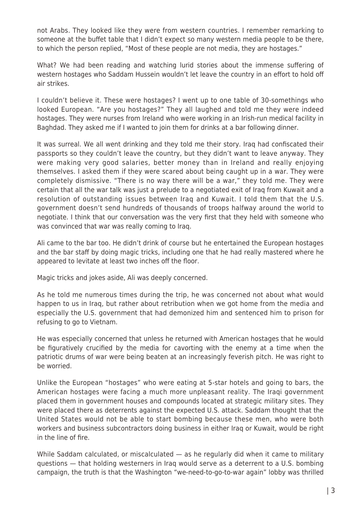not Arabs. They looked like they were from western countries. I remember remarking to someone at the buffet table that I didn't expect so many western media people to be there, to which the person replied, "Most of these people are not media, they are hostages."

What? We had been reading and watching lurid stories about the immense suffering of western hostages who Saddam Hussein wouldn't let leave the country in an effort to hold off air strikes.

I couldn't believe it. These were hostages? I went up to one table of 30-somethings who looked European. "Are you hostages?" They all laughed and told me they were indeed hostages. They were nurses from Ireland who were working in an Irish-run medical facility in Baghdad. They asked me if I wanted to join them for drinks at a bar following dinner.

It was surreal. We all went drinking and they told me their story. Iraq had confiscated their passports so they couldn't leave the country, but they didn't want to leave anyway. They were making very good salaries, better money than in Ireland and really enjoying themselves. I asked them if they were scared about being caught up in a war. They were completely dismissive. "There is no way there will be a war," they told me. They were certain that all the war talk was just a prelude to a negotiated exit of Iraq from Kuwait and a resolution of outstanding issues between Iraq and Kuwait. I told them that the U.S. government doesn't send hundreds of thousands of troops halfway around the world to negotiate. I think that our conversation was the very first that they held with someone who was convinced that war was really coming to Iraq.

Ali came to the bar too. He didn't drink of course but he entertained the European hostages and the bar staff by doing magic tricks, including one that he had really mastered where he appeared to levitate at least two inches off the floor.

Magic tricks and jokes aside, Ali was deeply concerned.

As he told me numerous times during the trip, he was concerned not about what would happen to us in Iraq, but rather about retribution when we got home from the media and especially the U.S. government that had demonized him and sentenced him to prison for refusing to go to Vietnam.

He was especially concerned that unless he returned with American hostages that he would be figuratively crucified by the media for cavorting with the enemy at a time when the patriotic drums of war were being beaten at an increasingly feverish pitch. He was right to be worried.

Unlike the European "hostages" who were eating at 5-star hotels and going to bars, the American hostages were facing a much more unpleasant reality. The Iraqi government placed them in government houses and compounds located at strategic military sites. They were placed there as deterrents against the expected U.S. attack. Saddam thought that the United States would not be able to start bombing because these men, who were both workers and business subcontractors doing business in either Iraq or Kuwait, would be right in the line of fire.

While Saddam calculated, or miscalculated — as he regularly did when it came to military questions — that holding westerners in Iraq would serve as a deterrent to a U.S. bombing campaign, the truth is that the Washington "we-need-to-go-to-war again" lobby was thrilled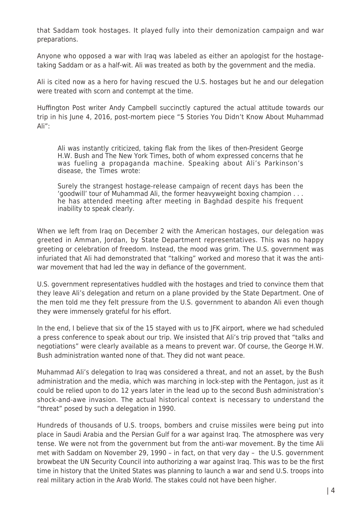that Saddam took hostages. It played fully into their demonization campaign and war preparations.

Anyone who opposed a war with Iraq was labeled as either an apologist for the hostagetaking Saddam or as a half-wit. Ali was treated as both by the government and the media.

Ali is cited now as a hero for having rescued the U.S. hostages but he and our delegation were treated with scorn and contempt at the time.

Huffington Post writer Andy Campbell succinctly captured the actual attitude towards our trip in his June 4, 2016, post-mortem piece "5 Stories You Didn't Know About Muhammad Ali":

Ali was instantly criticized, taking flak from the likes of then-President George H.W. Bush and The New York Times, both of whom expressed concerns that he was fueling a propaganda machine. Speaking about Ali's Parkinson's disease, the Times wrote:

Surely the strangest hostage-release campaign of recent days has been the 'goodwill' tour of Muhammad Ali, the former heavyweight boxing champion . . . he has attended meeting after meeting in Baghdad despite his frequent inability to speak clearly.

When we left from Iraq on December 2 with the American hostages, our delegation was greeted in Amman, Jordan, by State Department representatives. This was no happy greeting or celebration of freedom. Instead, the mood was grim. The U.S. government was infuriated that Ali had demonstrated that "talking" worked and moreso that it was the antiwar movement that had led the way in defiance of the government.

U.S. government representatives huddled with the hostages and tried to convince them that they leave Ali's delegation and return on a plane provided by the State Department. One of the men told me they felt pressure from the U.S. government to abandon Ali even though they were immensely grateful for his effort.

In the end, I believe that six of the 15 stayed with us to JFK airport, where we had scheduled a press conference to speak about our trip. We insisted that Ali's trip proved that "talks and negotiations" were clearly available as a means to prevent war. Of course, the George H.W. Bush administration wanted none of that. They did not want peace.

Muhammad Ali's delegation to Iraq was considered a threat, and not an asset, by the Bush administration and the media, which was marching in lock-step with the Pentagon, just as it could be relied upon to do 12 years later in the lead up to the second Bush administration's shock-and-awe invasion. The actual historical context is necessary to understand the "threat" posed by such a delegation in 1990.

Hundreds of thousands of U.S. troops, bombers and cruise missiles were being put into place in Saudi Arabia and the Persian Gulf for a war against Iraq. The atmosphere was very tense. We were not from the government but from the anti-war movement. By the time Ali met with Saddam on November 29, 1990 – in fact, on that very day – the U.S. government browbeat the UN Security Council into authorizing a war against Iraq. This was to be the first time in history that the United States was planning to launch a war and send U.S. troops into real military action in the Arab World. The stakes could not have been higher.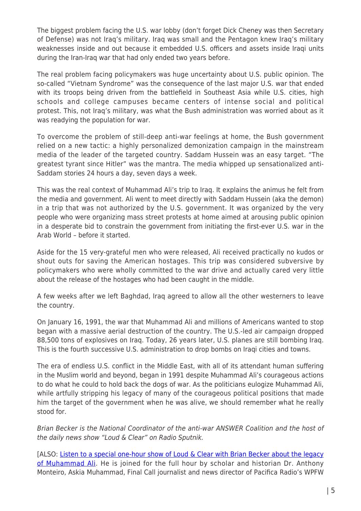The biggest problem facing the U.S. war lobby (don't forget Dick Cheney was then Secretary of Defense) was not Iraq's military. Iraq was small and the Pentagon knew Iraq's military weaknesses inside and out because it embedded U.S. officers and assets inside Iraqi units during the Iran-Iraq war that had only ended two years before.

The real problem facing policymakers was huge uncertainty about U.S. public opinion. The so-called "Vietnam Syndrome" was the consequence of the last major U.S. war that ended with its troops being driven from the battlefield in Southeast Asia while U.S. cities, high schools and college campuses became centers of intense social and political protest. This, not Iraq's military, was what the Bush administration was worried about as it was readying the population for war.

To overcome the problem of still-deep anti-war feelings at home, the Bush government relied on a new tactic: a highly personalized demonization campaign in the mainstream media of the leader of the targeted country. Saddam Hussein was an easy target. "The greatest tyrant since Hitler" was the mantra. The media whipped up sensationalized anti-Saddam stories 24 hours a day, seven days a week.

This was the real context of Muhammad Ali's trip to Iraq. It explains the animus he felt from the media and government. Ali went to meet directly with Saddam Hussein (aka the demon) in a trip that was not authorized by the U.S. government. It was organized by the very people who were organizing mass street protests at home aimed at arousing public opinion in a desperate bid to constrain the government from initiating the first-ever U.S. war in the Arab World – before it started.

Aside for the 15 very-grateful men who were released, Ali received practically no kudos or shout outs for saving the American hostages. This trip was considered subversive by policymakers who were wholly committed to the war drive and actually cared very little about the release of the hostages who had been caught in the middle.

A few weeks after we left Baghdad, Iraq agreed to allow all the other westerners to leave the country.

On January 16, 1991, the war that Muhammad Ali and millions of Americans wanted to stop began with a massive aerial destruction of the country. The U.S.-led air campaign dropped 88,500 tons of explosives on Iraq. Today, 26 years later, U.S. planes are still bombing Iraq. This is the fourth successive U.S. administration to drop bombs on Iraqi cities and towns.

The era of endless U.S. conflict in the Middle East, with all of its attendant human suffering in the Muslim world and beyond, began in 1991 despite Muhammad Ali's courageous actions to do what he could to hold back the dogs of war. As the politicians eulogize Muhammad Ali, while artfully stripping his legacy of many of the courageous political positions that made him the target of the government when he was alive, we should remember what he really stood for.

Brian Becker is the National Coordinator of the anti-war ANSWER Coalition and the host of the daily news show "Loud & Clear" on Radio Sputnik.

[ALSO: [Listen to a](http://www.answercoalition.org/i_was_with_muhammad_ali_on_his_hostage_release_trip_to_iraq_and_the_media_has_it_all_wrong) [special one-hour show of Loud & Clear with Brian Becker about the legacy](http://www.spreaker.com/user/radiosputnik/muhammad-ali-dont-let-them-bury-his-real) [of Muhammad Ali.](http://www.spreaker.com/user/radiosputnik/muhammad-ali-dont-let-them-bury-his-real) He is joined for the full hour by scholar and historian Dr. Anthony Monteiro, Askia Muhammad, Final Call journalist and news director of Pacifica Radio's WPFW